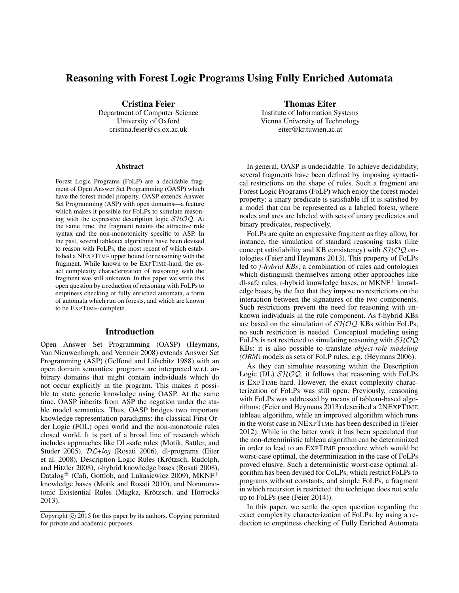# Reasoning with Forest Logic Programs Using Fully Enriched Automata

Cristina Feier Department of Computer Science University of Oxford cristina.feier@cs.ox.ac.uk

#### **Abstract**

Forest Logic Programs (FoLP) are a decidable fragment of Open Answer Set Programming (OASP) which have the forest model property. OASP extends Answer Set Programming (ASP) with open domains—a feature which makes it possible for FoLPs to simulate reasoning with the expressive description logic  $\mathcal{SHOQ}$ . At the same time, the fragment retains the attractive rule syntax and the non-monotonicity specific to ASP. In the past, several tableaux algorithms have been devised to reason with FoLPs, the most recent of which established a NEXPTIME upper bound for reasoning with the fragment. While known to be EXPTIME-hard, the exact complexity characterization of reasoning with the fragment was still unknown. In this paper we settle this open question by a reduction of reasoning with FoLPs to emptiness checking of fully enriched automata, a form of automata which run on forests, and which are known to be EXPTIME-complete.

#### Introduction

Open Answer Set Programming (OASP) (Heymans, Van Nieuwenborgh, and Vermeir 2008) extends Answer Set Programming (ASP) (Gelfond and Lifschitz 1988) with an open domain semantics: programs are interpreted w.r.t. arbitrary domains that might contain individuals which do not occur explicitly in the program. This makes it possible to state generic knowledge using OASP. At the same time, OASP inherits from ASP the negation under the stable model semantics. Thus, OASP bridges two important knowledge representation paradigms: the classical First Order Logic (FOL) open world and the non-monotonic rules closed world. It is part of a broad line of research which includes approaches like DL-safe rules (Motik, Sattler, and Studer 2005), DL+log (Rosati 2006), dl-programs (Eiter et al. 2008), Description Logic Rules (Krötzsch, Rudolph, and Hitzler 2008), r-hybrid knowledge bases (Rosati 2008), Datalog<sup> $\pm$ </sup> (Calì, Gottlob, and Lukasiewicz 2009), MKNF<sup>+</sup> knowledge bases (Motik and Rosati 2010), and Nonmonotonic Existential Rules (Magka, Krötzsch, and Horrocks 2013).

Thomas Eiter

Institute of Information Systems Vienna University of Technology eiter@kr.tuwien.ac.at

In general, OASP is undecidable. To achieve decidability, several fragments have been defined by imposing syntactical restrictions on the shape of rules. Such a fragment are Forest Logic Programs (FoLP) which enjoy the forest model property: a unary predicate is satisfiable iff it is satisfied by a model that can be represented as a labeled forest, where nodes and arcs are labeled with sets of unary predicates and binary predicates, respectively.

FoLPs are quite an expressive fragment as they allow, for instance, the simulation of standard reasoning tasks (like concept satisfiability and KB consistency) with  $\mathcal{SHOQ}$  ontologies (Feier and Heymans 2013). This property of FoLPs led to *f-hybrid KBs*, a combination of rules and ontologies which distinguish themselves among other approaches like dl-safe rules, r-hybrid knowledge bases, or  $MKNF<sup>+</sup>$  knowledge bases, by the fact that they impose no restrictions on the interaction between the signatures of the two components. Such restrictions prevent the need for reasoning with unknown individuals in the rule component. As f-hybrid KBs are based on the simulation of  $\mathcal{SHOQ}$  KBs within FoLPs, no such restriction is needed. Conceptual modeling using FoLPs is not restricted to simulating reasoning with  $\mathcal{SHOQ}$ KBs: it is also possible to translate *object-role modeling (ORM)* models as sets of FoLP rules, e.g. (Heymans 2006).

As they can simulate reasoning within the Description Logic (DL)  $\mathcal{SHOQ}$ , it follows that reasoning with FoLPs is EXPTIME-hard. However, the exact complexity characterization of FoLPs was still open. Previously, reasoning with FoLPs was addressed by means of tableau-based algorithms: (Feier and Heymans 2013) described a 2NEXPTIME tableau algorithm, while an improved algorithm which runs in the worst case in NEXPTIME has been described in (Feier 2012). While in the latter work it has been speculated that the non-deterministic tableau algorithm can be determinized in order to lead to an EXPTIME procedure which would be worst-case optimal, the determinization in the case of FoLPs proved elusive. Such a deterministic worst-case optimal algorithm has been devised for CoLPs, which restrict FoLPs to programs without constants, and simple FoLPs, a fragment in which recursion is restricted: the technique does not scale up to FoLPs (see (Feier 2014)).

In this paper, we settle the open question regarding the exact complexity characterization of FoLPs: by using a reduction to emptiness checking of Fully Enriched Automata

Copyright (c) 2015 for this paper by its authors. Copying permitted for private and academic purposes.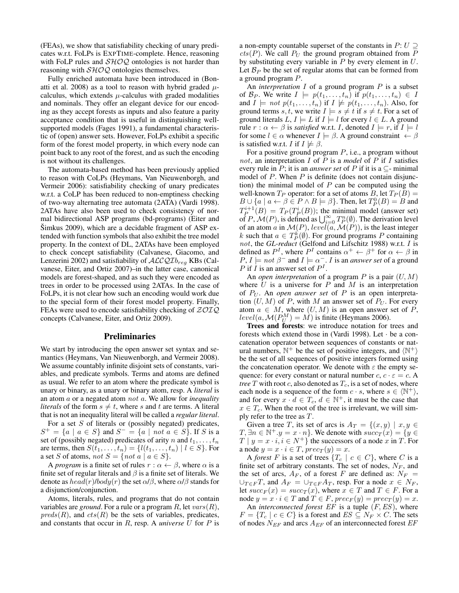(FEAs), we show that satisfiability checking of unary predicates w.r.t. FoLPs is EXPTIME-complete. Hence, reasoning with FoLP rules and  $\mathcal{SHOQ}$  ontologies is not harder than reasoning with  $\mathcal{SHOQ}$  ontologies themselves.

Fully enriched automata have been introduced in (Bonatti et al. 2008) as a tool to reason with hybrid graded  $\mu$ calculus, which extends  $\mu$ -calculus with graded modalities and nominals. They offer an elegant device for our encoding as they accept forests as inputs and also feature a parity acceptance condition that is useful in distinguishing wellsupported models (Fages 1991), a fundamental characteristic of (open) answer sets. However, FoLPs exhibit a specific form of the forest model property, in which every node can point back to any root of the forest, and as such the encoding is not without its challenges.

The automata-based method has been previously applied to reason with CoLPs (Heymans, Van Nieuwenborgh, and Vermeir 2006): satisfiability checking of unary predicates w.r.t. a CoLP has been reduced to non-emptiness checking of two-way alternating tree automata (2ATA) (Vardi 1998). 2ATAs have also been used to check consistency of normal bidirectional ASP programs (bd-programs) (Eiter and  $\text{Simkus } 2009$ , which are a decidable fragment of ASP extended with function symbols that also exhibit the tree model property. In the context of DL, 2ATAs have been employed to check concept satisfiability (Calvanese, Giacomo, and Lenzerini 2002) and satisfiability of  $\mathcal{ALCQID}_{reg}$  KBs (Calvanese, Eiter, and Ortiz 2007)–in the latter case, canonical models are forest-shaped, and as such they were encoded as trees in order to be processed using 2ATAs. In the case of FoLPs, it is not clear how such an encoding would work due to the special form of their forest model property. Finally, FEAs were used to encode satisfiability checking of  $ZOTQ$ concepts (Calvanese, Eiter, and Ortiz 2009).

## Preliminaries

We start by introducing the open answer set syntax and semantics (Heymans, Van Nieuwenborgh, and Vermeir 2008). We assume countably infinite disjoint sets of constants, variables, and predicate symbols. Terms and atoms are defined as usual. We refer to an atom where the predicate symbol is unary or binary, as a unary or binary atom, resp. A *literal* is an atom a or a negated atom not a. We allow for *inequality literals* of the form  $s \neq t$ , where s and t are terms. A literal that is not an inequality literal will be called a *regular literal*.

For a set  $S$  of literals or (possibly negated) predicates,  $S^+ = \{a \mid a \in S\}$  and  $S^- = \{a \mid not \ a \in S\}$ . If S is a set of (possibly negated) predicates of arity n and  $t_1, \ldots, t_n$ are terms, then  $S(t_1, ..., t_n) = \{l(t_1, ..., t_n) | l \in S\}$ . For a set S of atoms, not  $S = \{ not \ a \mid a \in S \}.$ 

A *program* is a finite set of rules  $r : \alpha \leftarrow \beta$ , where  $\alpha$  is a finite set of regular literals and  $\beta$  is a finite set of literals. We denote as  $head(r) / body(r)$  the set  $\alpha/\beta$ , where  $\alpha/\beta$  stands for a disjunction/conjunction.

Atoms, literals, rules, and programs that do not contain variables are *ground*. For a rule or a program  $R$ , let  $vars(R)$ ,  $preds(R)$ , and  $cts(R)$  be the sets of variables, predicates, and constants that occur in R, resp. A *universe* U for P is a non-empty countable superset of the constants in  $P: U \supseteq$  $cts(P)$ . We call  $P_U$  the ground program obtained from P by substituting every variable in  $P$  by every element in  $U$ . Let  $\mathcal{B}_P$  be the set of regular atoms that can be formed from a ground program P.

An *interpretation* I of a ground program P is a subset of  $\mathcal{B}_P$ . We write  $I \models p(t_1, \ldots, t_n)$  if  $p(t_1, \ldots, t_n) \in I$ and  $I \models not p(t_1, \ldots, t_n)$  if  $I \not\models p(t_1, \ldots, t_n)$ . Also, for ground terms s, t, we write  $I \models s \neq t$  if  $s \neq t$ . For a set of ground literals  $L, I \models L$  if  $I \models l$  for every  $l \in L$ . A ground rule  $r : \alpha \leftarrow \beta$  is *satisfied* w.r.t. I, denoted  $I \models r$ , if  $I \models l$ for some  $l \in \alpha$  whenever  $I \models \beta$ . A ground constraint  $\leftarrow \beta$ is satisfied w.r.t. I if  $I \not\models \beta$ .

For a positive ground program  $P$ , i.e., a program without not, an interpretation I of P is a *model* of P if I satisfies every rule in P; it is an *answer set* of P if it is a  $\subseteq$ -minimal model of  $P$ . When  $P$  is definite (does not contain disjunction) the minimal model of  $P$  can be computed using the well-known  $T_P$  operator: for a set of atoms B, let  $T_P(B)$  =  $B \cup \{a \mid a \leftarrow \beta \in P \land B \models \beta\}$ . Then, let  $T_P^0(B) = B$  and  $T_P^{i+1}(B) = T_P(T_P^i(B))$ ; the minimal model (answer set)  $P_P (D) = P(P(P|D))$ , the findmitial model (answer set)<br>of P,  $\mathcal{M}(P)$ , is defined as  $\bigcup_{i=0}^{\infty} T_P^{n}(\emptyset)$ . The derivation level of an atom a in  $\mathcal{M}(P)$ , level $(a, \mathcal{M}(P))$ , is the least integer k such that  $a \in T_P^k(\emptyset)$ . For ground programs P containing not, the *GL-reduct* (Gelfond and Lifschitz 1988) w.r.t. I is defined as  $P^I$ , where  $P^I$  contains  $\alpha^+ \leftarrow \beta^+$  for  $\alpha \leftarrow \beta$  in  $P, I \models not \ \beta^-$  and  $I \models \alpha^-$ . *I* is an *answer set* of a ground P if I is an answer set of  $P<sup>I</sup>$ .

An *open interpretation* of a program  $P$  is a pair  $(U, M)$ where  $U$  is a universe for  $P$  and  $M$  is an interpretation of  $P_U$ . An *open answer set* of P is an open interpretation  $(U, M)$  of P, with M an answer set of  $P_U$ . For every atom  $a \in M$ , where  $(U, M)$  is an open answer set of P,  $level(a, \mathcal{M}(P_U^M) = M)$  is finite (Heymans 2006).

Trees and forests: we introduce notation for trees and forests which extend those in (Vardi 1998). Let · be a concatenation operator between sequences of constants or natural numbers,  $\mathbb{N}^+$  be the set of positive integers, and  $\langle \mathbb{N}^+ \rangle$ be the set of all sequences of positive integers formed using the concatenation operator. We denote with  $\varepsilon$  the empty sequence: for every constant or natural number  $c, c \cdot \varepsilon = c$ . A *tree*  $T$  with root  $c$ , also denoted as  $T_c$ , is a set of nodes, where each node is a sequence of the form  $c \cdot s$ , where  $s \in \{N^+\},$ and for every  $x \cdot d \in T_c$ ,  $d \in \mathbb{N}^+$ , it must be the case that  $x \in T_c$ . When the root of the tree is irrelevant, we will simply refer to the tree as T.

Given a tree T, its set of arcs is  $A_T = \{(x, y) \mid x, y \in$  $T, \exists n \in \mathbb{N}^+, y = x \cdot n$ . We denote with  $succ_T(x) = \{y \in$  $T | y = x \cdot i, i \in N^+$  the successors of a node x in T. For a node  $y = x \cdot i \in T$ ,  $prec_T(y) = x$ .

A *forest* F is a set of trees  $\{T_c \mid c \in C\}$ , where C is a finite set of arbitrary constants. The set of nodes,  $N_F$ , and the set of arcs,  $A_F$ , of a forest F are defined as:  $N_F =$  $\bigcup_{T \in F} T$ , and  $A_F = \bigcup_{T \in F} A_T$ , resp. For a node  $x \in N_F$ , let  $succ_F(x) = succ_T(x)$ , where  $x \in T$  and  $T \in F$ . For a node  $y = x \cdot i \in T$  and  $T \in F$ ,  $prec_F(y) = prec_T(y) = x$ . An *interconnected forest* EF is a tuple (F,ES), where  $F = \{T_c \mid c \in C\}$  is a forest and  $ES \subseteq N_F \times C$ . The sets of nodes  $N_{EF}$  and arcs  $A_{EF}$  of an interconnected forest  $EF$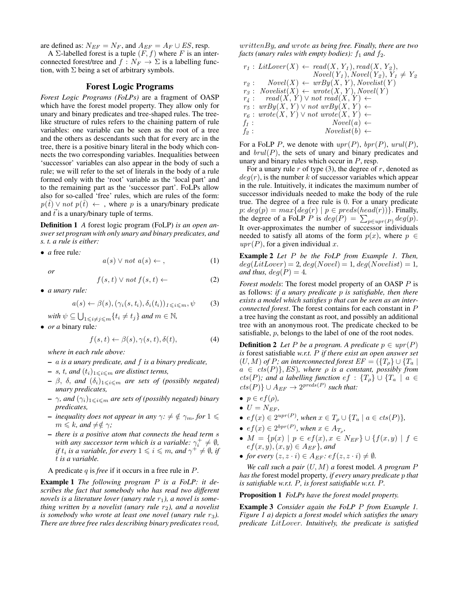are defined as:  $N_{EF} = N_F$ , and  $A_{EF} = A_F \cup ES$ , resp.

A  $\Sigma$ -labelled forest is a tuple  $(F, f)$  where F is an interconnected forest/tree and  $f : N_F \to \Sigma$  is a labelling function, with  $\Sigma$  being a set of arbitrary symbols.

## Forest Logic Programs

*Forest Logic Programs (FoLPs)* are a fragment of OASP which have the forest model property. They allow only for unary and binary predicates and tree-shaped rules. The treelike structure of rules refers to the chaining pattern of rule variables: one variable can be seen as the root of a tree and the others as descendants such that for every arc in the tree, there is a positive binary literal in the body which connects the two corresponding variables. Inequalities between 'successor' variables can also appear in the body of such a rule; we will refer to the set of literals in the body of a rule formed only with the 'root' variable as the 'local part' and to the remaining part as the 'successor part'. FoLPs allow also for so-called 'free' rules, which are rules of the form:  $p(t) \vee not p(t) \leftarrow$ , where p is a unary/binary predicate and  $\vec{t}$  is a unary/binary tuple of terms.

Definition 1 *A* forest logic program (FoLP) *is an open answer set program with only unary and binary predicates, and s. t. a rule is either:*

• *a* free rule*:*

$$
a(s) \lor not \ a(s) \leftarrow , \tag{1}
$$

*or*

$$
f(s,t) \lor not \ f(s,t) \leftarrow \qquad (2)
$$

• *a unary rule:*

$$
a(s) \leftarrow \beta(s), (\gamma_i(s, t_i), \delta_i(t_i))_{1 \leqslant i \leqslant m}, \psi \tag{3}
$$

 $\text{with } \psi \subseteq \bigcup_{1 \leqslant i \neq j \leqslant m} \{t_i \neq t_j\} \text{ and } m \in \mathbb{N},$ 

• *or a* binary rule*:*

$$
f(s,t) \leftarrow \beta(s), \gamma(s,t), \delta(t), \tag{4}
$$

*where in each rule above:*

- a *is a unary predicate, and* f *is a binary predicate,*
- $-$  s, t, and  $(t_i)_{1\leq i\leq m}$  are distinct terms,
- $\beta$ ,  $\delta$ , *and*  $(\delta_i)_{1\leq i \leq m}$  *are sets of (possibly negated) unary predicates,*
- $\gamma$ *, and*  $(\gamma_i)_{1 \leq i \leq m}$  *are sets of (possibly negated) binary predicates,*
- *inequality does not appear in any*  $\gamma$ *:*  $\neq \oint \gamma_m$ *, for*  $1 \leq$  $m \leq k$ *, and*  $\neq \notin \gamma$ *;*
- *there is a positive atom that connects the head term* s *with any successor term which is a variable:*  $\gamma_i^+ \neq \emptyset$ , *if*  $t_i$  is a variable, for every  $1 \leqslant i \leqslant m$ , and  $\gamma^+ \neq \emptyset$ , if t *is a variable.*

A predicate q is *free* if it occurs in a free rule in P.

Example 1 *The following program* P *is a FoLP: it describes the fact that somebody who has read two different novels is a literature lover (unary rule r<sub>1</sub>), a novel is something written by a novelist (unary rule r<sub>2</sub>), and a novelist is somebody who wrote at least one novel (unary rule r<sub>3</sub>). There are three free rules describing binary predicates* read*,*

writtenBy*, and* wrote *as being free. Finally, there are two facts (unary rules with empty bodies):*  $f_1$  *and*  $f_2$ *.* 

$$
r_1: LitLower(X) \leftarrow read(X, Y_1), read(X, Y_2),
$$
  
\n
$$
Novel(Y_1), Novel(Y_2), Y_1 \neq Y_2
$$
  
\n
$$
r_2: Novel(X) \leftarrow wrBy(X, Y), Novelist(Y)
$$
  
\n
$$
r_3: Novelist(X) \leftarrow wrote(X, Y), Novel(Y)
$$
  
\n
$$
r_4: read(X, Y) \vee not read(X, Y) \leftarrow
$$
  
\n
$$
r_5: wrBy(X, Y) \vee not wrBy(X, Y) \leftarrow
$$
  
\n
$$
r_6: wrote(X, Y) \vee not wrote(X, Y) \leftarrow
$$
  
\n
$$
f_1: Novel(a) \leftarrow
$$
  
\n
$$
f_2: Novelist(b) \leftarrow
$$

For a FoLP P, we denote with  $upr(P)$ ,  $bpr(P)$ ,  $urul(P)$ , and  $brul(P)$ , the sets of unary and binary predicates and unary and binary rules which occur in P, resp.

For a unary rule  $r$  of type (3), the degree of  $r$ , denoted as  $deg(r)$ , is the number k of successor variables which appear in the rule. Intuitively, it indicates the maximum number of successor individuals needed to make the body of the rule true. The degree of a free rule is 0. For a unary predicate  $p: deg(p) = max{deg(r) | p \in preds(head(r))}$ . Finally, the degree of a FoLP P is  $deg(P) = \sum_{p \in upr(P)} deg(p)$ . It over-approximates the number of successor individuals needed to satisfy all atoms of the form  $p(x)$ , where  $p \in$  $upr(P)$ , for a given individual x.

Example 2 *Let* P *be the FoLP from Example 1. Then,*  $deg(LitLower) = 2, deg(Novel) = 1, deg(Novelist) = 1,$ *and thus,*  $deg(P) = 4$ *.* 

*Forest models*: The forest model property of an OASP P is as follows: *if a unary predicate* p *is satisfiable, then there exists a model which satisfies* p *that can be seen as an interconnected forest*. The forest contains for each constant in P a tree having the constant as root, and possibly an additional tree with an anonymous root. The predicate checked to be satisfiable, p, belongs to the label of one of the root nodes.

**Definition 2** Let P be a program. A predicate  $p \in upr(P)$ *is* forest satisfiable *w.r.t.* P *if there exist an open answer set*  $(U, M)$  *of* P; an interconnected forest  $EF = (\lbrace T_{\rho} \rbrace \cup \lbrace T_{a} \rbrace)$  $a \in \text{cts}(P)$ , ES), where  $\rho$  is a constant, possibly from  $cts(P);$  and a labelling function  $ef: \{T_{\rho}\} \cup \{T_a \mid a \in$  $cts(P)$ }  $\cup$   $A_{EF}$   $\rightarrow$   $2^{preds(P)}$  such that:

- $\bullet \, p \in e f(\rho),$
- $U = N_{EF}$ ,
- $ef(x) \in 2^{upr(P)}$ , when  $x \in T_\rho \cup \{T_a \mid a \in \text{cts}(P)\}\$ ,
- $ef(x) \in 2^{bpr(P)}$ , when  $x \in A_{T_{\rho}}$ ,
- $M = \{p(x) | p \in ef(x), x \in N_{EF}\} \cup \{f(x, y) | f \in$  $ef(x, y), (x, y) \in A_{EF}$ *, and*
- *for every*  $(z, z \cdot i) \in A_{EF}$ *:*  $ef(z, z \cdot i) \neq \emptyset$ *.*

*We call such a pair* (U, M) *a* forest model*. A program* P *has the* forest model property*, if every unary predicate* p *that is satisfiable w.r.t.* P*, is forest satisfiable w.r.t.* P*.*

Proposition 1 *FoLPs have the forest model property.*

Example 3 *Consider again the FoLP* P *from Example 1. Figure 1 a) depicts a forest model which satisfies the unary predicate* LitLover*. Intuitively, the predicate is satisfied*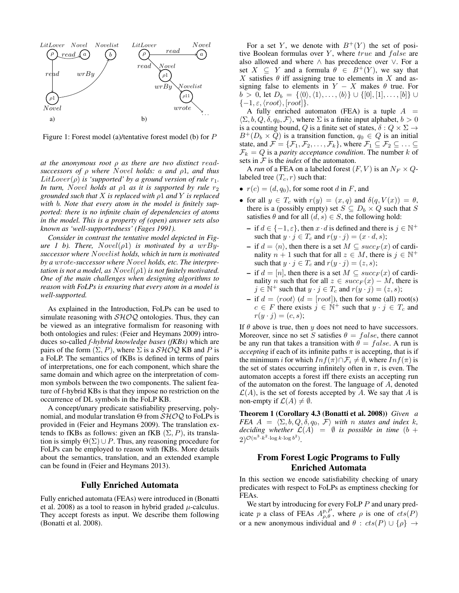

Figure 1: Forest model (a)/tentative forest model (b) for P

*at the anonymous root* ρ *as there are two distinct* read*successors of* ρ *where* Novel *holds:* a *and* ρ1*, and thus*  $LitLower(\rho)$  *is 'supported' by a ground version of rule*  $r_1$ *. In turn, Novel holds at*  $\rho$ *l as it is supported by rule*  $r_2$ *grounded such that* X *is replaced with* ρ1 *and* Y *is replaced with* b*. Note that every atom in the model is finitely supported: there is no infinite chain of dependencies of atoms in the model. This is a property of (open) answer sets also known as 'well-supportedness' (Fages 1991).*

*Consider in contrast the tentative model depicted in Figure 1 b). There, Novel*( $\rho$ 1) *is motivated by a wrBysuccessor where* Novelist *holds, which in turn is motivated by a* wrote*-successor where* Novel *holds, etc. The interpretation is not a model, as*  $Novel(\rho1)$  *is not finitely motivated. One of the main challenges when designing algorithms to reason with FoLPs is ensuring that every atom in a model is well-supported.*

As explained in the Introduction, FoLPs can be used to simulate reasoning with  $\mathcal{SHOQ}$  ontologies. Thus, they can be viewed as an integrative formalism for reasoning with both ontologies and rules: (Feier and Heymans 2009) introduces so-called *f-hybrid knowledge bases (fKBs)* which are pairs of the form  $(\Sigma, P)$ , where  $\Sigma$  is a  $\mathcal{SHOQ}$  KB and P is a FoLP. The semantics of fKBs is defined in terms of pairs of interpretations, one for each component, which share the same domain and which agree on the interpretation of common symbols between the two components. The salient feature of f-hybrid KBs is that they impose no restriction on the occurrence of DL symbols in the FoLP KB.

A concept/unary predicate satisfiability preserving, polynomial, and modular translation  $\Theta$  from  $\mathcal{SHOQ}$  to FoLPs is provided in (Feier and Heymans 2009). The translation extends to fKBs as follows: given an fKB  $(\Sigma, P)$ , its translation is simply  $\Theta(\Sigma) \cup P$ . Thus, any reasoning procedure for FoLPs can be employed to reason with fKBs. More details about the semantics, translation, and an extended example can be found in (Feier and Heymans 2013).

### Fully Enriched Automata

Fully enriched automata (FEAs) were introduced in (Bonatti et al. 2008) as a tool to reason in hybrid graded  $\mu$ -calculus. They accept forests as input. We describe them following (Bonatti et al. 2008).

For a set Y, we denote with  $B^{+}(Y)$  the set of positive Boolean formulas over  $Y$ , where  $true$  and  $false$  are also allowed and where ∧ has precedence over ∨. For a set  $X \subseteq Y$  and a formula  $\theta \in B^{+}(Y)$ , we say that X satisfies  $\theta$  iff assigning true to elements in X and assigning false to elements in  $Y - X$  makes  $\theta$  true. For  $b > 0$ , let  $D_b = \{ \langle 0 \rangle, \langle 1 \rangle, \ldots, \langle b \rangle \}$  ∪  $\{ [0], [1], \ldots, [b] \}$  ∪  $\{-1,\varepsilon,\langle root \rangle, [root]\}.$ 

A fully enriched automaton (FEA) is a tuple  $A =$  $\langle \Sigma, b, Q, \delta, q_0, \mathcal{F} \rangle$ , where  $\Sigma$  is a finite input alphabet,  $b > 0$ is a counting bound, Q is a finite set of states,  $\delta: Q \times \Sigma \rightarrow$  $B^+(D_b \times Q)$  is a transition function,  $q_0 \in Q$  is an initial state, and  $\mathcal{F} = {\mathcal{F}_1, \mathcal{F}_2, \ldots, \mathcal{F}_k}$ , where  $\mathcal{F}_1 \subseteq \mathcal{F}_2 \subseteq \ldots \subseteq$  $\mathcal{F}_k = Q$  is a *parity acceptance condition*. The number k of sets in  $F$  is the *index* of the automaton.

A *run* of a FEA on a labeled forest  $(F, V)$  is an  $N_F \times Q$ labeled tree  $(T_c, r)$  such that:

- $r(c) = (d, q_0)$ , for some root d in F, and
- for all  $y \in T_c$  with  $r(y) = (x, q)$  and  $\delta(q, V(x)) = \theta$ , there is a (possibly empty) set  $S \subseteq D_b \times Q$  such that S satisfies  $\theta$  and for all  $(d, s) \in S$ , the following hold:
	- $\text{- if } d \in \{-1, \varepsilon\},\text{ then } x \cdot d \text{ is defined and there is } j \in \mathbb{N}^+$ such that  $y \cdot j \in T_c$  and  $r(y \cdot j) = (x \cdot d, s)$ ;
	- if  $d = \langle n \rangle$ , then there is a set  $M \subseteq succ_F(x)$  of cardinality  $n + 1$  such that for all  $z \in M$ , there is  $j \in \mathbb{N}^+$ such that  $y \cdot j \in T_c$  and  $r(y \cdot j) = (z, s);$
	- if  $d = [n]$ , then there is a set  $M \subseteq succ_F(x)$  of cardinality *n* such that for all  $z \in succ_F(x) - M$ , there is  $j \in \mathbb{N}^+$  such that  $y \cdot j \in T_c$  and  $r(y \cdot j) = (z, s)$ ;
	- if  $d = \langle root \rangle$  ( $d = [root]$ ), then for some (all) root(s)  $c \in F$  there exists  $\dot{j} \in \dot{\mathbb{N}}^+$  such that  $y \cdot \dot{j} \in T_c$  and  $r(y \cdot j) = (c, s);$

If  $\theta$  above is true, then y does not need to have successors. Moreover, since no set S satisfies  $\theta = false$ , there cannot be any run that takes a transition with  $\theta = false$ . A run is *accepting* if each of its infinite paths  $\pi$  is accepting, that is if the minimum *i* for which  $Inf(\pi) \cap \mathcal{F}_i \neq \emptyset$ , where  $Inf(\pi)$  is the set of states occurring infinitely often in  $\pi$ , is even. The automaton accepts a forest iff there exists an accepting run of the automaton on the forest. The language of A, denoted  $\mathcal{L}(A)$ , is the set of forests accepted by A. We say that A is non-empty if  $\mathcal{L}(A) \neq \emptyset$ .

Theorem 1 (Corollary 4.3 (Bonatti et al. 2008)) *Given a FEA*  $A = \langle \Sigma, b, Q, \delta, q_0, \mathcal{F} \rangle$  *with* n *states and index* k, *deciding whether*  $\mathcal{L}(A) = \emptyset$  *is possible in time* (b +  $2)^{\mathcal{O}(n^3 \cdot k^2 \cdot \log k \cdot \log b^2)}$ .

# From Forest Logic Programs to Fully Enriched Automata

In this section we encode satisfiability checking of unary predicates with respect to FoLPs as emptiness checking for FEAs.

We start by introducing for every FoLP  $P$  and unary predicate p a class of FEAs  $A_{\rho,\theta}^{p,P}$ , where  $\rho$  is one of  $cts(P)$ or a new anonymous individual and  $\theta$  :  $cts(P) \cup {\rho} \rightarrow$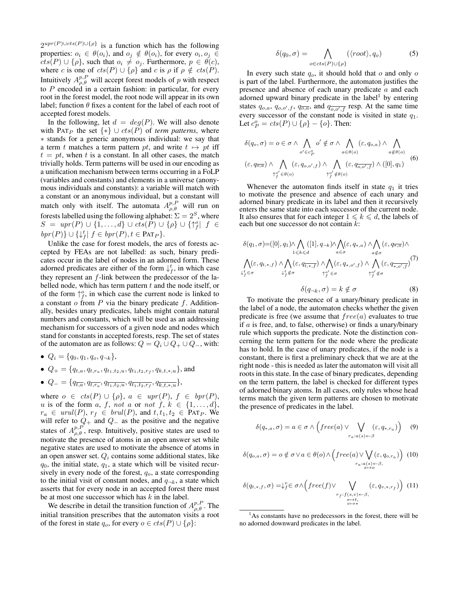$2^{upr(P) \cup cts(P) \cup {\rho}}$  is a function which has the following properties:  $o_i \in \theta(o_i)$ , and  $o_j \notin \theta(o_i)$ , for every  $o_i, o_j \in$  $cts(P) \cup {\rho}$ , such that  $o_i \neq o_j$ . Furthermore,  $p \in \theta(c)$ , where c is one of  $cts(P) \cup {\rho}$  and c is  $\rho$  if  $\rho \notin cts(P)$ . Intuitively  $A_{\rho,\theta}^{p,P}$  will accept forest models of p with respect to  $P$  encoded in a certain fashion: in particular, for every root in the forest model, the root node will appear in its own label; function  $\theta$  fixes a content for the label of each root of accepted forest models.

In the following, let  $d = deg(P)$ . We will also denote with PAT<sub>P</sub> the set  $\{*\} \cup \text{cts}(P)$  of *term patterns*, where ∗ stands for a generic anonymous individual: we say that a term t matches a term pattern pt, and write  $t \mapsto pt$  iff  $t = pt$ , when t is a constant. In all other cases, the match trivially holds. Term patterns will be used in our encoding as a unification mechanism between terms occurring in a FoLP (variables and constants) and elements in a universe (anonymous individuals and constants): a variable will match with a constant or an anonymous individual, but a constant will match only with itself. The automata  $A_{\rho,\theta}^{p,P}$  will run on forests labelled using the following alphabet:  $\Sigma = 2^S$ , where  $S = \textit{upr}(P) \cup \{1, ..., d\} \cup \textit{cts}(P) \cup \{\rho\} \cup \{\uparrow^o_f | f \in$  $bpr(P)$   $\cup \{ \downarrow_f^t | f \in bpr(P), t \in \text{PAT}_P \}.$ 

Unlike the case for forest models, the arcs of forests accepted by FEAs are not labelled: as such, binary predicates occur in the label of nodes in an adorned form. These adorned predicates are either of the form  $\downarrow_f^t$ , in which case they represent an  $f$ -link between the predecessor of the labelled node, which has term pattern  $t$  and the node itself, or of the form  $\uparrow_f^o$ , in which case the current node is linked to a constant  $o$  from  $P$  via the binary predicate  $f$ . Additionally, besides unary predicates, labels might contain natural numbers and constants, which will be used as an addressing mechanism for successors of a given node and nodes which stand for constants in accepted forests, resp. The set of states of the automaton are as follows:  $Q = Q_i \cup Q_+ \cup Q_-,$  with:

- $Q_i = \{q_0, q_1, q_0, q_{\neg k}\},\,$
- $Q_+ = \{q_{t,a}, q_{t,r_a}, q_{t_1,t_2,u}, q_{t_1,t_2,r_f}, q_{k,t,*,u}\}$ , and
- $Q_{-} = \{q_{\overline{t},a}, q_{\overline{t},r_a}, q_{\overline{t_1},t_2,u}, q_{\overline{t_1},t_2,r_f}, q_{\overline{k},t,\ast,u}\},\$

where  $o \in \text{cts}(P) \cup \{\rho\}, a \in \text{upr}(P), f \in \text{bpr}(P),$ u is of the form a, f, not a or not f,  $k \in \{1, \ldots, d\}$ ,  $r_a \in \text{urul}(P), r_f \in \text{brul}(P), \text{ and } t, t_1, t_2 \in \text{PAT}_P.$  We will refer to  $Q_+$  and  $Q_-$  as the positive and the negative states of  $A_{\rho,\theta}^{p,P}$ , resp. Intuitively, positive states are used to motivate the presence of atoms in an open answer set while negative states are used to motivate the absence of atoms in an open answer set.  $Q_i$  contains some additional states, like  $q_0$ , the initial state,  $q_1$ , a state which will be visited recursively in every node of the forest,  $q_o$ , a state corresponding to the initial visit of constant nodes, and  $q_{\neg k}$ , a state which asserts that for every node in an accepted forest there must be at most one successor which has  $k$  in the label.

We describe in detail the transition function of  $A_{\rho,\theta}^{p,P}$ . The initial transition prescribes that the automaton visits a root of the forest in state  $q_o$ , for every  $o \in cts(P) \cup \{\rho\}$ :

$$
\delta(q_0, \sigma) = \bigwedge_{o \in cts(P) \cup \{\rho\}} (\langle root \rangle, q_o) \tag{5}
$$

In every such state  $q_o$ , it should hold that  $o$  and only  $o$ is part of the label. Furthermore, the automaton justifies the presence and absence of each unary predicate a and each adorned upward binary predicate in the label<sup>1</sup> by entering states  $q_{o,a}$ ,  $q_{o,o',f}$ ,  $q_{\overline{o,a}}$ , and  $q_{\overline{o,o',f}}$  resp. At the same time every successor of the constant node is visited in state  $q_1$ . Let  $c_P^o = cts(P) \cup \{\rho\} - \{o\}$ . Then:

$$
\delta(q_o, \sigma) = o \in \sigma \wedge \bigwedge_{o' \in c_P^o} o' \notin \sigma \wedge \bigwedge_{a \in \theta(o)} (\varepsilon, q_{o,a}) \wedge \bigwedge_{a \notin \theta(o)} (\varepsilon, q_{\overline{o},\overline{a}}) \wedge \bigwedge_{\uparrow_{f}^o' \in \theta(o)} (\varepsilon, q_{o,o',f}) \wedge \bigwedge_{\uparrow_{f}^o' \notin \theta(o)} (\varepsilon, q_{\overline{o},\overline{o',f}}) \wedge ([0], q_1)
$$
(6)

Whenever the automaton finds itself in state  $q_1$  it tries to motivate the presence and absence of each unary and adorned binary predicate in its label and then it recursively enters the same state into each successor of the current node. It also ensures that for each integer  $1 \leq k \leq d$ , the labels of each but one successor do not contain k:

$$
\delta(q_1, \sigma) = ([0], q_1) \wedge \bigwedge_{1 \leq k \leq d} ([1], q_{-k}) \wedge \bigwedge_{a \in \sigma} (\varepsilon, q_{*,a}) \wedge \bigwedge_{a \notin \sigma} (\varepsilon, q_{\overline{*}, \overline{a}}) \wedge \n\bigwedge_{1 \leq k \leq d} (\varepsilon, q_{t,*,f}) \wedge \bigwedge_{\uparrow} (\varepsilon, q_{\overline{*}, \sigma',f}) \wedge \bigwedge_{\uparrow'} (\varepsilon, q_{\overline{*}, \sigma',f}) \wedge \n\downarrow_f^t \varepsilon \sigma \qquad \qquad \uparrow_f^{\sigma'} \varepsilon \sigma \qquad \qquad \uparrow_f^{\sigma'} \nexists \sigma
$$
\n
$$
\delta(q_{\neg k}, \sigma) = k \notin \sigma \qquad (8)
$$

To motivate the presence of a unary/binary predicate in the label of a node, the automaton checks whether the given predicate is free (we assume that  $free(a)$  evaluates to true if  $a$  is free, and, to false, otherwise) or finds a unary/binary rule which supports the predicate. Note the distinction concerning the term pattern for the node where the predicate has to hold. In the case of unary predicates, if the node is a constant, there is first a preliminary check that we are at the right node - this is needed as later the automaton will visit all roots in this state. In the case of binary predicates, depending on the term pattern, the label is checked for different types of adorned binary atoms. In all cases, only rules whose head terms match the given term patterns are chosen to motivate the presence of predicates in the label.

$$
\delta(q_{*,a}, \sigma) = a \in \sigma \wedge \left( \text{free}(a) \vee \bigvee_{r_a: a(s) \leftarrow \beta} (\varepsilon, q_{*,r_a}) \right) \quad (9)
$$

$$
\delta(q_{o,a}, \sigma) = o \notin \sigma \lor a \in \theta(o) \land \left( free(a) \lor \bigvee_{\substack{ra: a(s) \leftarrow \beta, \\ s \rightarrow o}} (e, q_{o,r_a}) \right) (10)
$$

$$
\delta(q_{t,*,f}, \sigma) = \downarrow_f^v \in \sigma \wedge \left( \text{free}(f) \vee \bigvee_{\substack{r_f: f(s,v) \leftarrow \beta, \\ s \mapsto t, \\ v \mapsto *}} (\varepsilon, q_{v,*,r_f}) \right) (11)
$$

<sup>&</sup>lt;sup>1</sup>As constants have no predecessors in the forest, there will be no adorned downward predicates in the label.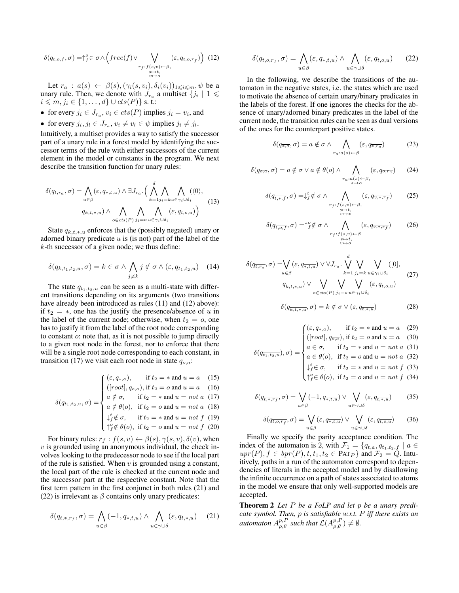$$
\delta(q_{t,o,f}, \sigma) = \uparrow_{f}^{o} \in \sigma \wedge \left( \text{free}(f) \vee \bigvee_{\substack{r_{f}:f(s,v) \leftarrow \beta, \\ s \mapsto t, \\ v \mapsto o}} (\varepsilon, q_{t,o,r_{f}}) \right) (12)
$$

Let  $r_a : a(s) \leftarrow \beta(s), (\gamma_i(s, v_i), \delta_i(v_i))_{1 \leqslant i \leqslant m}, \psi$  be a unary rule. Then, we denote with  $J_{r_a}$  a multiset  $\{j_i \mid 1 \leq$  $i \leqslant m, j_i \in \{1, \ldots, d\} \cup cts(P)\}$  s. t.:

• for every 
$$
j_i \in J_{r_a}, v_i \in \text{cts}(P)
$$
 implies  $j_i = v_i$ , and

• for every  $j_i, j_l \in J_{r_a}, v_i \neq v_l \in \psi$  implies  $j_i \neq j_l$ .

Intuitively, a multiset provides a way to satisfy the successor part of a unary rule in a forest model by identifying the successor terms of the rule with either successors of the current element in the model or constants in the program. We next describe the transition function for unary rules:

$$
\delta(q_{t,r_a}, \sigma) = \bigwedge_{u \in \beta} (\varepsilon, q_{*,t,u}) \wedge \exists J_{r_a} \cdot \Big( \bigwedge_{k=1}^d \bigwedge_{j_i=k} \bigwedge_{u \in \gamma_i \cup \delta_i} (\langle 0 \rangle, \\ q_{k,t,*,u}) \wedge \bigwedge_{o \in \text{cts}(P)} \bigwedge_{j_i=o} \bigwedge_{u \in \gamma_i \cup \delta_i} (\varepsilon, q_{t,o,u}) \Big)
$$
(13)

State  $q_{k,t,*}$ , enforces that the (possibly negated) unary or adorned binary predicate  $u$  is (is not) part of the label of the  $k$ -th successor of a given node; we thus define:

$$
\delta(q_{k,t_1,t_2,u}, \sigma) = k \in \sigma \wedge \bigwedge_{j \neq k} j \notin \sigma \wedge (\varepsilon, q_{t_1,t_2,u}) \quad (14)
$$

The state  $q_{t_1,t_2,u}$  can be seen as a multi-state with different transitions depending on its arguments (two transitions have already been introduced as rules (11) and (12) above): if  $t_2 = *$ , one has the justify the presence/absence of u in the label of the current node; otherwise, when  $t_2 = 0$ , one has to justify it from the label of the root node corresponding to constant o: note that, as it is not possible to jump directly to a given root node in the forest, nor to enforce that there will be a single root node corresponding to each constant, in transition (17) we visit each root node in state  $q_{o,a}$ :

$$
\delta(q_{t_1,t_2,u},\sigma) = \begin{cases}\n(\varepsilon, q_{*,a}), & \text{if } t_2 = * \text{ and } u = a \quad (15) \\
([\text{root}], q_{o,a}), & \text{if } t_2 = o \text{ and } u = a \quad (16) \\
a \notin \sigma, & \text{if } t_2 = * \text{ and } u = not \ a \quad (17) \\
a \notin \theta(o), & \text{if } t_2 = o \text{ and } u = not \ a \quad (18) \\
\downarrow^t_f \notin \sigma, & \text{if } t_2 = * \text{ and } u = not \ f \quad (19) \\
\uparrow^o_f \notin \theta(o), & \text{if } t_2 = o \text{ and } u = not \ f \quad (20)\n\end{cases}
$$

For binary rules:  $r_f : f(s, v) \leftarrow \beta(s), \gamma(s, v), \delta(v)$ , when  $v$  is grounded using an anonymous individual, the check involves looking to the predecessor node to see if the local part of the rule is satisfied. When  $v$  is grounded using a constant, the local part of the rule is checked at the current node and the successor part at the respective constant. Note that the first term pattern in the first conjunct in both rules (21) and (22) is irrelevant as  $\beta$  contains only unary predicates:

$$
\delta(q_{t,*,r_f}, \sigma) = \bigwedge_{u \in \beta} (-1, q_{*,t,u}) \wedge \bigwedge_{u \in \gamma \cup \delta} (\varepsilon, q_{t,*,u}) \quad (21)
$$

$$
\delta(q_{t,o,r_f}, \sigma) = \bigwedge_{u \in \beta} (\varepsilon, q_{*,t,u}) \wedge \bigwedge_{u \in \gamma \cup \delta} (\varepsilon, q_{t,o,u}) \qquad (22)
$$

In the following, we describe the transitions of the automaton in the negative states, i.e. the states which are used to motivate the absence of certain unary/binary predicates in the labels of the forest. If one ignores the checks for the absence of unary/adorned binary predicates in the label of the current node, the transition rules can be seen as dual versions of the ones for the counterpart positive states.

$$
\delta(q_{\overline{\ast},a},\sigma) = a \notin \sigma \wedge \bigwedge_{r_a:a(s) \leftarrow \beta} (\varepsilon, q_{\overline{\ast},r_a})
$$
(23)

$$
\delta(q_{\overline{o},\overline{a}},\sigma) = o \notin \sigma \lor a \notin \theta(o) \land \bigwedge_{\substack{r_a:a(s)\leftarrow\beta,\\s\mapsto o}} (\varepsilon,q_{\overline{o},\overline{r_a}}) \qquad (24)
$$

$$
\delta(q_{\overline{t},\ast,\overline{f}},\sigma) = \downarrow_f^t \notin \sigma \land \bigwedge_{\substack{r_f:f(s,v) \leftarrow \beta, \\ s \mapsto t, \\ v \mapsto \ast}} (\varepsilon, q_{\overline{v},\ast,\overline{r_f}}) \tag{25}
$$

$$
\delta(q_{\overline{t},o,f},\sigma) = \uparrow_f^o \notin \sigma \land \bigwedge_{\substack{r_f:f(s,v) \leftarrow \beta \\ \substack{s \rightarrow t, \\ v \rightarrow o}} (\varepsilon, q_{\overline{v},\ast,r_f})} (\varepsilon)
$$
 (26)

$$
\delta(q_{\overline{t},\overline{r_a}},\sigma) = \bigvee_{u \in \beta} (\varepsilon, q_{\overline{\ast},\overline{t},u}) \vee \forall J_{r_a} \cdot \bigvee_{k=1}^d \bigvee_{j_i=k} \bigvee_{u \in \gamma_i \cup \delta_i} ([0],
$$
\n
$$
q_{\overline{k},\overline{t},\overline{\ast},u}) \vee \bigvee_{o \in \text{cts}(P)} \bigvee_{j_i=o} \bigvee_{u \in \gamma_i \cup \delta_i} (\varepsilon, q_{\overline{t,o},u})
$$
\n(27)

$$
\delta(q_{\overline{k,t,\ast,u}}, \sigma) = k \notin \sigma \vee (\varepsilon, q_{\overline{t,\ast,u}})
$$
\n(28)

$$
\delta(q_{\overline{t_1}, t_2, u}), \sigma) = \begin{cases}\n(\varepsilon, q_{\overline{x}, a}), & \text{if } t_2 = * \text{ and } u = a \quad (29) \\
([\text{root}], q_{\overline{o}, \overline{a}}), & \text{if } t_2 = o \text{ and } u = a \quad (30) \\
a \in \sigma, & \text{if } t_2 = * \text{ and } u = \text{not } a \quad (31) \\
a \in \theta(o), & \text{if } t_2 = o \text{ and } u = \text{not } a \quad (32) \\
\downarrow_f^t \in \sigma, & \text{if } t_2 = * \text{ and } u = \text{not } f \quad (33) \\
\uparrow_f^o \in \theta(o), & \text{if } t_2 = o \text{ and } u = \text{not } f \quad (34)\n\end{cases}
$$

$$
\delta(q_{\overline{t},\ast,\overline{r_f}},\sigma) = \bigvee_{u \in \beta} (-1, q_{\overline{\ast},\overline{t},u}) \vee \bigvee_{u \in \gamma \cup \delta} (\varepsilon, q_{\overline{t},\ast,u}) \tag{35}
$$

$$
\delta(q_{\overline{t},\overline{o},\overline{r_f}},\sigma) = \bigvee_{u \in \beta} (\varepsilon, q_{\overline{\ast},\overline{t},\overline{u}}) \vee \bigvee_{u \in \gamma \cup \delta} (\varepsilon, q_{\overline{t},\overline{o},\overline{u}})
$$
(36)

Finally we specify the parity acceptance condition. The index of the automaton is 2, with  $\mathcal{F}_1 = \{q_{t,a}, q_{t_1,t_2,f} \mid a \in$  $upr(P), f \in bpr(P), t, t_1, t_2 \in PAT_P$  and  $\mathcal{F}_2 = \mathcal{Q}$ . Intuitively, paths in a run of the automaton correspond to dependencies of literals in the accepted model and by disallowing the infinite occurrence on a path of states associated to atoms in the model we ensure that only well-supported models are accepted.

Theorem 2 *Let* P *be a FoLP and let* p *be a unary predicate symbol. Then,* p *is satisfiable w.r.t.* P *iff there exists an* automaton  $A_{\rho,\theta}^{p,P}$  such that  $\mathcal{L}(A_{\rho,\theta}^{p,P}) \neq \emptyset$ .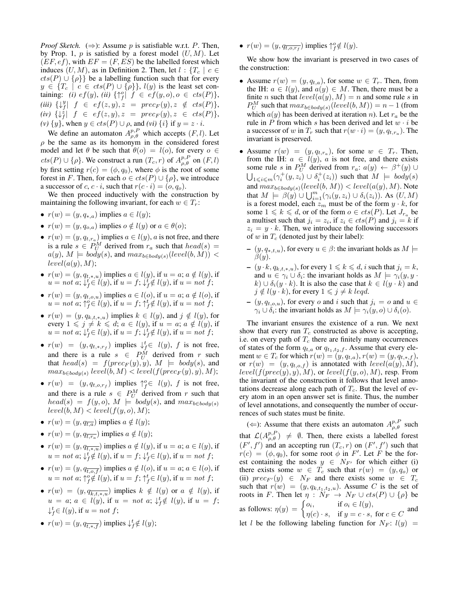*Proof Sketch.*  $(\Rightarrow)$ : Assume p is satisfiable w.r.t. P. Then, by Prop. 1,  $p$  is satisfied by a forest model  $(U, M)$ . Let  $(EF, ef)$ , with  $EF = (F, ES)$  be the labelled forest which induces  $(U, M)$ , as in Definition 2. Then, let  $l : \{T_c \mid c \in$  $cts(P) \cup {\rho}$  be a labelling function such that for every  $y \in \{T_c \mid c \in \text{cts}(P) \cup \{\rho\}\}, l(y)$  is the least set containing: *(i)*  $ef(y)$ , *(ii)*  $\{\uparrow^o_f | f \in \overline{ef}(y, o), o \in \overline{cts(P)}\},$ (*iii*)  $\{\downarrow^y_f \vert \, f \in \, ef(z,y), z = \, \textit{prec}_F(y), z \notin \, \textit{cts}(P)\},$  $(iv) \{\downarrow^z_f \vert \ \ f \ \in \ \, ef(z,y), z \ \ = \ \ prec_F(y), z \ \ \in \ \, cts(P) \},$  $(v) \{y\}$ , when  $y \in \text{cts}(P) \cup \rho$ , and  $(vi) \{i\}$  if  $y = z \cdot i$ .

We define an automaton  $A_{\rho,\theta}^{p,P}$  which accepts  $(F, l)$ . Let  $\rho$  be the same as its homonym in the considered forest model and let  $\theta$  be such that  $\theta$ (o) = l(o), for every  $o \in$  $cts(P) \cup \{\rho\}$ . We construct a run  $(T_c, r)$  of  $A^{p, P}_{\rho, \theta}$  on  $(F, l)$ by first setting  $r(c) = (\phi, q_0)$ , where  $\phi$  is the root of some forest in F. Then, for each  $o \in \text{cts}(P) \cup \{\rho\}$ , we introduce a successor of c,  $c \cdot i$ , such that  $r(c \cdot i) = (o, q_o)$ .

We then proceed inductively with the construction by maintaining the following invariant, for each  $w \in T_r$ :

- $r(w) = (y, q_{*,a})$  implies  $a \in l(y)$ ;
- $r(w) = (y, q_{o,a})$  implies  $o \notin l(y)$  or  $a \in \theta(o)$ ;
- $r(w) = (y, q_{t,r_a})$  implies  $a \in l(y)$ , a is not free, and there is a rule  $s \in P_U^M$  derived from  $r_a$  such that  $head(s)$  =  $a(y)$ ,  $M \models body(s)$ , and  $max_{b \in body(s)}(level(b, M))$  $level(a(y), M);$
- $r(w) = (y, q_{t,*,u})$  implies  $a \in l(y)$ , if  $u = a$ ;  $a \notin l(y)$ , if  $u = not \ a; \ \downarrow^t_f \in l(y), \text{if} \ u = f; \ \downarrow^t_f \notin l(y), \text{if} \ u = not \ f;$
- $r(w) = (y, q_{t, o, u})$  implies  $a \in l(o)$ , if  $u = a$ ;  $a \notin l(o)$ , if  $u = not \ a; \uparrow_f^o \in l(y),$  if  $u = f; \uparrow_f^t \notin l(y),$  if  $u = not \ f;$
- $r(w) = (y, q_{k,t,*,u})$  implies  $k \in l(y)$ , and  $j \notin l(y)$ , for every  $1 \leq j \neq k \leq d$ ;  $a \in l(y)$ , if  $u = a$ ;  $a \notin l(y)$ , if  $u = not \ a; \downarrow_f^t \in l(y),$  if  $u = f; \downarrow_f^t \notin l(y),$  if  $u = not \ f;$
- $r(w) = (y, q_{t,*,rf})$  implies  $\downarrow_f^t \in l(y)$ , f is not free, and there is a rule  $s \in P_U^M$  derived from r such that  $head(s) = f(prec_F(y), y)$ ,  $M \models body(s)$ , and  $max_{b \in body(s)} level(b, M) < level(f(prec_F(y), y), M);$
- $r(w) = (y, q_{t, o, r_f})$  implies  $\uparrow_f^o \in l(y)$ , f is not free, and there is a rule  $s \in P_U^M$  derived from r such that  $head(s) = f(y, o), M \models body(s),$  and  $max_{b \in body(s)}$  $level(b, M) < level(f(y, o), M);$
- $r(w) = (y, q_{\overline{t},a})$  implies  $a \notin l(y)$ ;
- $r(w) = (y, q_{\overline{t,r_a}})$  implies  $a \notin l(y)$ ;
- $r(w) = (y, q_{\overline{t}, \ast, u})$  implies  $a \notin l(y)$ , if  $u = a$ ;  $a \in l(y)$ , if  $u = not \ a; \downarrow_f^t \notin l(y),$  if  $u = f; \downarrow_f^t \in l(y),$  if  $u = not \ f;$
- $r(w) = (y, q_{\overline{t.o.f}})$  implies  $a \notin l(o)$ , if  $u = a; a \in l(o)$ , if  $u = not \ a; \uparrow_f^o \notin l(y),$  if  $u = f; \uparrow_f^t \in l(y),$  if  $u = not \ f;$
- $r(w) = (y, q_{\overline{k,t^*,u}})$  implies  $k \notin l(y)$  or  $a \notin l(y)$ , if  $u = a$ ;  $a \in l(y)$ , if  $u = not$  a;  $\downarrow_f^t \notin l(y)$ , if  $u = f$ ;  $\downarrow_f^t \in l(y)$ , if  $u = not f$ ;
- $r(w) = (y, q_{\overline{t,*,f}})$  implies  $\downarrow_f^t \notin l(y)$ ;

•  $r(w) = (y, q_{\overline{t}, o, r_f})$  implies  $\uparrow_f^o \notin l(y)$ .

We show how the invariant is preserved in two cases of the construction:

- Assume  $r(w) = (y, q_{t,a})$ , for some  $w \in T_r$ . Then, from the IH:  $a \in l(y)$ , and  $a(y) \in M$ . Then, there must be a finite *n* such that  $level(a(y), M) = n$  and some rule *s* in  $P_U^M$  such that  $max_{b \in body(s)}(level(b, M)) = n - 1$  (from which  $a(y)$  has been derived at iteration n). Let  $r_a$  be the rule in  $P$  from which s has been derived and let  $w \cdot i$  be a successor of w in  $T_r$  such that  $r(w \cdot i) = (y, q_{t,r_a})$ . The invariant is preserved.
- Assume  $r(w) = (y, q_{t,r_a})$ , for some  $w \in T_r$ . Then, from the IH:  $a \in l(y)$ , a is not free, and there exists some rule s in  $P_U^M$  derived from  $r_a$ :  $a(y) \leftarrow \beta^+(y) \cup$  $\bigcup_{1 \leq i \leq m} (\gamma_i^+(y, z_i) \cup \delta_i^+(z_i))$  such that  $M \models body(s)$ and  $max_{b \in body(s)}(level(b, M)) < level(a(y), M)$ . Note that  $M \models \beta(y) \cup \bigcup_{i=1}^{m} (\gamma_i(y, z_i) \cup \delta_i(z_i))$ . As  $(U, M)$ is a forest model, each  $z_m$  must be of the form  $y \cdot k$ , for some  $1 \leq k \leq d$ , or of the form  $o \in cts(P)$ . Let  $J_{r_a}$  be a multiset such that  $j_i = z_i$ , if  $z_i \in \text{cts}(P)$  and  $j_i = k$  if  $z_i = y \cdot k$ . Then, we introduce the following successors of  $w$  in  $T_c$  (denoted just by their label):
	- $(y, q_{*,t,u})$ , for every  $u \in \beta$ : the invariant holds as  $M \models$  $\beta(y)$ .
	- $(y \cdot k, q_{k,t,*,u})$ , for every  $1 \le k \le d$ , *i* such that  $j_i = k$ , and  $u \in \gamma_i \cup \delta_i$ : the invariant holds as  $M \models \gamma_i(y, y \cdot \delta_i)$  $k)$  ∪  $\delta_i(y \cdot k)$ . It is also the case that  $k \in l(y \cdot k)$  and  $j \notin l(y \cdot k)$ , for every  $1 \leq j \neq k$  leqd.
	- $(y, q_{t, o, u})$ , for every o and i such that  $j_i = o$  and  $u \in$  $\gamma_i \cup \delta_i$ : the invariant holds as  $M \models \gamma_i(y, o) \cup \delta_i(o)$ .

The invariant ensures the existence of a run. We next show that every run  $T_c$  constructed as above is accepting, i.e. on every path of  $T_c$  there are finitely many occurrences of states of the form  $q_{t,a}$  or  $q_{t_1,t_2,f}$ . Assume that every element  $w \in T_c$  for which  $r(w) = (y, q_{t,a}), r(w) = (y, q_{t,*,f}),$ or  $r(w) = (y, q_{t, o, f})$  is annotated with  $level(a(y), M)$ ,  $level(f(prec(y), y), M)$ , or  $level(f(y, o), M)$ , resp. From the invariant of the construction it follows that level annotations decrease along each path of  $T_c$ . But the level of every atom in an open answer set is finite. Thus, the number of level annotations, and consequently the number of occurrences of such states must be finite.

( $\Leftarrow$ ): Assume that there exists an automaton  $A^{p,P}_{\rho,\theta}$  such that  $\mathcal{L}(A^{p,P}_{\rho,\theta}) \neq \emptyset$ . Then, there exists a labelled forest  $(F', f')$  and an accepting run  $(T_c, r)$  on  $(F', f')$  such that  $r(c) = (\phi, q_0)$ , for some root  $\phi$  in F'. Let F be the forest containing the nodes  $y \in N_{F'}$  for which either (i) there exists some  $w \in T_c$  such that  $r(w) = (y, q_o)$  or (ii)  $prec_{F'}(y) \in N_F$  and there exists some  $w \in T_c$ such that  $r(w) = (y, q_{k,t_1,t_2,u})$ . Assume C is the set of roots in F. Then let  $\eta$  :  $N_F \rightarrow N_F \cup \text{cts}(P) \cup \{\rho\}$  be as follows:  $\eta(y) = \begin{cases} o_i, & \text{if } o_i \in l(y), \\ o_i, & \text{if } j \in I(y). \end{cases}$  $\eta(c) \cdot s$ , if  $y = c \cdot s$ , for  $c \in C$  and let l be the following labeling function for  $N_F$ :  $l(y)$  =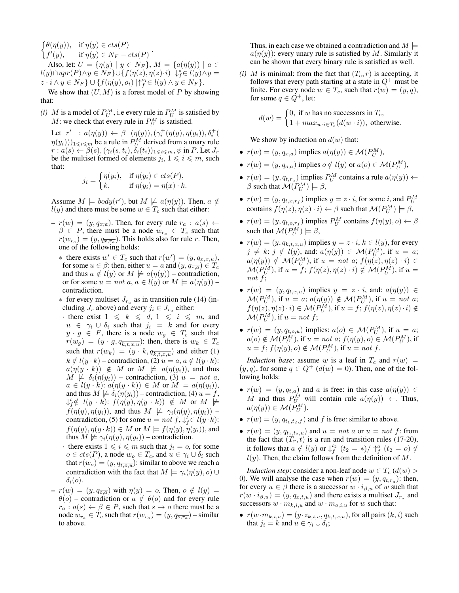$\int \theta(\eta(y)), \text{ if } \eta(y) \in \text{cts}(P)$  $f'$  $\eta(y)$ , if  $\eta(y) \in \cos(P)$ <br>  $(y)$ , if  $\eta(y) \in N_F - cts(P)$ .

Also, let:  $U = \{\eta(y) \mid y \in N_F\}, M = \{a(\eta(y)) \mid a \in$  $l(y) \cap upr(P) \wedge y \in N_F\} \cup \{f(\eta(z), \eta(z) \cdot i) \mid \downarrow_f^* \in l(y) \wedge y =$  $z \cdot i \wedge y \in N_F$   $\cup$  { $f(\eta(y), o_i) \mid \uparrow_f^{o_i} \in l(y) \wedge y \in N_F$  }.

We show that  $(U, M)$  is a forest model of P by showing that:

*(i) M* is a model of  $P_U^M$ , i.e every rule in  $P_U^M$  is satisfied by M: we check that every rule in  $P_U^M$  is satisfied.

Let  $r' : a(\eta(y)) \leftarrow \beta^+(\eta(y)), (\gamma_i^+(\eta(y), \eta(y_i)), \delta_i^+(\eta(y), \eta(y_i)))$  $\eta(y_i))_{1 \leq i \leq m}$  be a rule in  $P_U^M$  derived from a unary rule  $r: a(s) \leftarrow \beta(s), (\gamma_i(s, t_i), \delta_i(t_i))_{1 \leqslant i \leqslant m}, \psi \text{ in } P.$  Let  $J_r$ be the multiset formed of elements  $j_i$ ,  $1 \leq i \leq m$ , such that:

$$
j_i = \begin{cases} \eta(y_i), & \text{if } \eta(y_i) \in cts(P), \\ k, & \text{if } \eta(y_i) = \eta(x) \cdot k. \end{cases}
$$

Assume  $M \models body(r')$ , but  $M \not\models a(\eta(y))$ . Then,  $a \notin$  $l(y)$  and there must be some  $w \in T_c$  such that either:

- $r(w) = (y, q_{\overline{x},a})$ . Then, for every rule  $r_a : a(s) \leftarrow$  $\beta \in P$ , there must be a node  $w_{r_a} \in T_c$  such that  $r(w_{r_a}) = (y, q_{\overline{x,r_a}})$ . This holds also for rule r. Then, one of the following holds:
	- \* there exists  $w' \in T_c$  such that  $r(w') = (y, q_{\overline{x}, \overline{x}, \overline{u}})$ , for some  $u \in \beta$ : then, either  $u = a$  and  $(y, q_{\overline{\ast}, a}) \in T_c$ and thus  $a \notin l(y)$  or  $M \not\models a(\eta(y))$  – contradiction, or for some  $u = not$  a,  $a \in l(y)$  or  $M \models a(\eta(y))$  – contradiction.
	- $*$  for every multiset  $J_{r_a}$  as in transition rule (14) (including  $J_r$  above) and every  $j_i \in J_{r_a}$  either:
	- · there exist  $1 \le k \le d$ ,  $1 \le i \le m$ , and  $u \in \gamma_i \cup \delta_i$  such that  $j_i = k$  and for every  $y \cdot g \in F$ , there is a node  $w_g \in T_c$  such that  $r(w_g) = (y \cdot g, q_{\overline{k,t,x,u}})$ : then, there is  $w_k \in T_c$ such that  $r(w_k) = (y \cdot k, q_{\overline{k,t,x,u}})$  and either (1)  $k \notin l(y \cdot k)$  – contradiction, (2)  $u = a, a \notin l(y \cdot k)$ :  $a(\eta(y \cdot k)) \notin M$  or  $M \not\models a(\eta(y_i))$ , and thus  $M \not\models \delta_i(\eta(y_i))$  – contradiction, (3)  $u = not a$ ,  $a \in l(y \cdot k)$ :  $a(\eta(y \cdot k)) \in M$  or  $M \models a(\eta(y_i))$ , and thus  $M \not\models \delta_i(\eta(y_i))$  – contradiction, (4)  $u = f$ ,  $\downarrow_f^t \notin \ l(y \cdot k) \colon f(\eta(y), \eta(y \cdot k)) \ \notin \ M \ \text{or} \ M \ \not\models$  $f(\eta(y), \eta(y_i))$ , and thus  $M \not\models \gamma_i(\eta(y), \eta(y_i))$  – contradiction, (5) for some  $u = not f$ ,  $\downarrow_f^t \in l(y \cdot k)$ :  $f(\eta(y), \eta(y \cdot k)) \in M$  or  $M \models f(\eta(y), \eta(y_i))$ , and thus  $M \not\models \gamma_i(\eta(y), \eta(y_i))$  – contradiction.
	- there exists  $1 \leq i \leq m$  such that  $j_i = 0$ , for some  $o \in cts(P)$ , a node  $w_o \in T_c$ , and  $u \in \gamma_i \cup \delta_i$  such that  $r(w_o) = (y, q_{\overline{t,o},u})$ : similar to above we reach a contradiction with the fact that  $M \models \gamma_i(\eta(y), o) \cup$  $\delta_i(o)$ .
- $r(w) = (y, q_{\overline{o}, a})$  with  $\eta(y) = o$ . Then,  $o \notin l(y) =$  $\theta$ (o) – contradiction or  $a \notin \theta$ (o) and for every rule  $r_a : a(s) \leftarrow \beta \in P$ , such that  $s \mapsto o$  there must be a node  $w_{r_a} \in T_c$  such that  $r(w_{r_a}) = (y, q_{\overline{o,r_a}})$  – similar to above.

Thus, in each case we obtained a contradiction and  $M \models$  $a(\eta(y))$ : every unary rule is satisfied by M. Similarly it can be shown that every binary rule is satisfied as well.

*(i) M* is minimal: from the fact that  $(T_c, r)$  is accepting, it follows that every path starting at a state in  $Q^+$  must be finite. For every node  $w \in T_c$ , such that  $r(w) = (y, q)$ , for some  $q \in Q^+$ , let:

> $d(w) = \begin{cases} 0, & \text{if } w \text{ has no successors in } T_c, \\ 1, & \text{otherwise} \end{cases}$  $1 + max_{w \cdot i \in T_c}(d(w \cdot i))$ , otherwise.

We show by induction on  $d(w)$  that:

- $r(w) = (y, q_{x,a})$  implies  $a(\eta(y)) \in \mathcal{M}(P_U^M)$ ,
- $r(w) = (y, q_{o,a})$  implies  $o \notin l(y)$  or  $a(o) \in \mathcal{M}(P_U^M)$ ,
- $r(w) = (y, q_{t,r_a})$  implies  $P_U^M$  contains a rule  $a(\eta(y)) \leftarrow$  $\beta$  such that  $\mathcal{M}(P_U^M) \models \beta$ ,
- $r(w) = (y, q_{t,x, rf})$  implies  $y = z \cdot i$ , for some i, and  $P_U^M$ contains  $f(\eta(z), \eta(z) \cdot i) \leftarrow \beta$  such that  $\mathcal{M}(P_U^M) \models \beta$ ,
- $r(w) = (y, q_{t, o, r_f})$  implies  $P_U^M$  contains  $f(\eta(y), o) \leftarrow \beta$ such that  $\mathcal{M}(P_U^{\tilde{M}}) \models \beta$ ,
- $r(w) = (y, q_{k,t,x,u})$  implies  $y = z \cdot i$ ,  $k \in l(y)$ , for every  $j \neq k$ :  $j \notin l(y)$ , and:  $a(\eta(y)) \in \mathcal{M}(P_U^M)$ , if  $u = a$ ;  $a(\eta(y)) \notin \mathcal{M}(P_U^M)$ , if  $u = not$  a;  $f(\eta(z), \eta(z) \cdot i) \in$  $\mathcal{M}(P_U^M)$ , if  $u = f$ ;  $f(\eta(z), \eta(z) \cdot i) \notin \mathcal{M}(P_U^M)$ , if  $u =$ not f;
- $r(w) = (y, q_{t,x,u})$  implies  $y = z \cdot i$ , and:  $a(\eta(y)) \in$  $\mathcal{M}(P_U^M)$ , if  $u = a$ ;  $a(\eta(y)) \notin \mathcal{M}(P_U^M)$ , if  $u = not$  a;  $f(\eta(z), \eta(z) \cdot i) \in \mathcal{M}(P_U^M)$ , if  $u = f$ ;  $f(\eta(z), \eta(z) \cdot i) \notin$  $\mathcal{M}(P_U^M)$ , if  $u = not f$ ;
- $r(w) = (y, q_{t, o, u})$  implies:  $a(o) \in \mathcal{M}(P_U^M)$ , if  $u = a$ ;  $a(o) \notin \mathcal{M}(P_U^M)$ , if  $u = not$  a;  $f(\eta(y), o) \in \mathcal{M}(P_U^M)$ , if  $u = f$ ;  $f(\eta(y), o) \notin \mathcal{M}(P_U^M)$ , if  $u = not f$ .

*Induction base*: assume w is a leaf in  $T_c$  and  $r(w)$  =  $(y, q)$ , for some  $q \in Q^+$  ( $d(w) = 0$ ). Then, one of the following holds:

- $r(w) = (y, q_{t,a})$  and a is free: in this case  $a(\eta(y)) \in$ M and thus  $P_{U}^{M}$  will contain rule  $a(\eta(y)) \leftarrow$ . Thus,  $a(\eta(y)) \in \mathcal{M}(P_U^M)$ .
- $r(w) = (y, q_{t_1,t_2,f})$  and f is free: similar to above.
- $r(w) = (y, q_{t_1,t_2,u})$  and  $u = not a$  or  $u = not f$ : from the fact that  $(T_r, t)$  is a run and transition rules (17-20), it follows that  $a \notin l(y)$  or  $\downarrow_f^{t_2}(t_2 = *) / \uparrow_f^o(t_2 = o) \notin$  $l(y)$ . Then, the claim follows from the definition of M.

*Induction step*: consider a non-leaf node  $w \in T_c$  ( $d(w)$ ) 0). We will analyse the case when  $r(w) = (y, q_{t,r_a})$ : then, for every  $u \in \beta$  there is a successor  $w \cdot i_{\beta,u}$  of w such that  $r(w \cdot i_{\beta,u}) = (y, q_{x,t,u})$  and there exists a multiset  $J_{r_a}$  and successors  $w \cdot m_{k,i,u}$  and  $w \cdot m_{o,i,u}$  for w such that:

 $\bullet\hspace{0.1cm} r(w\!\cdot\! m_{k,i,u}) = (y\!\cdot\! z_{k,i,u},q_{k,t,x,u}),$  for all pairs  $(k,i)$  such that  $j_i = k$  and  $u \in \gamma_i \cup \delta_i$ ;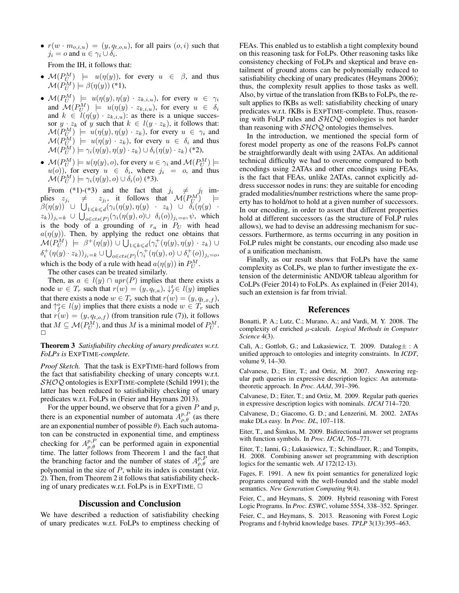•  $r(w \cdot m_{o,i,u}) = (y, q_{t,o,u})$ , for all pairs  $(o, i)$  such that  $j_i = o$  and  $u \in \gamma_i \cup \delta_i$ .

From the IH, it follows that:

- $\mathcal{M}(P_U^M) \models u(\eta(y)),$  for every  $u \in \beta$ , and thus  $\mathcal{M}(P_U^M) \models \beta(\eta(y))$  (\*1),
- $\mathcal{M}(P_U^M) \models u(\eta(y), \eta(y) \cdot z_{k,i,u}),$  for every  $u \in \gamma_i$ and  $\mathcal{M}(P_U^M)$   $\models$   $u(\eta(y) \cdot z_{k,i,u})$ , for every  $u \in \delta_i$ and  $\mathcal{W}(Y|U) \models u(\eta(y) \cdot z_{k,i,u}),$  for every  $u \in U_i$ <br>and  $k \in l(\eta(y) \cdot z_{k,i,u})$ : as there is a unique successor  $y \cdot z_k$  of y such that  $k \in l(y \cdot z_k)$ , it follows that:  $\mathcal{M}(P_U^M) \models u(\eta(y), \eta(y) \cdot z_k)$ , for every  $u \in \gamma_i$  and  $\mathcal{M}(P_U^M) \models u(\eta(y) \cdot z_k)$ , for every  $u \in \delta_i$  and thus  $\mathcal{M}(P_U^M) \models \gamma_i(\eta(y), \eta(y) \cdot z_k) \cup \delta_i(\eta(y) \cdot z_k)$  (\*2),
- $\bullet \ \mathcal{M}(P_U^M) \models u(\eta(y), o),$  for every  $u \in \gamma_i$  and  $\mathcal{M}(P_U^M) \models$  $u(o)$ ), for every  $u \in \delta_i$ , where  $j_i = o$ , and thus  $\mathcal{M}(P_U^M) \models \gamma_i(\eta(y), o) \cup \delta_i(o)$  (\*3).

From (\*1)-(\*3) and the fact that  $j_i \neq j_l$  implies  $z_{j_i} \neq z_{j_i}$ , it follows that  $\mathcal{M}(P_U^M)$  $\beta(\eta(y))$  U  $\bigcup_{1 \leq k \leq d} (\gamma_i(\eta(y), \eta(y) - z_k) \cup \delta_i(\eta(y) - z_k))$  $(z_k))_{j_i=k} \cup \bigcup_{o \in cts(P)} (\gamma_i(\eta(y), o) \cup \delta_i(o))_{j_i=o}, \psi, \text{ which}$ is the body of a grounding of  $r_a$  in  $P_U$  with head  $a(\eta(y))$ . Then, by applying the reduct one obtains that  $\mathcal{M}(P_U^M) \models \beta^+(\eta(y)) \cup \bigcup_{1 \leqslant k \leqslant d} (\gamma^+_i(\eta(y), \eta(y) \cdot z_k) \cup$  $\delta_i^+(\eta(y)\cdot z_k))_{j_i=k} \cup \bigcup_{o\in cts(P)} (\gamma_i^+(\eta(y), o) \cup \delta_i^+(o))_{j_i=o},$ which is the body of a rule with head  $a(\eta(y))$  in  $P_U^M$ .

The other cases can be treated similarly.

Then, as  $a \in l(y) \cap upr(P)$  implies that there exists a node  $w \in T_r$  such that  $r(w) = (y, q_{t,a})$ ,  $\downarrow_f^t \in l(y)$  implies that there exists a node  $w \in T_r$  such that  $r(w) = (y, q_{t,x,f}),$ and  $\uparrow_f^o \in l(y)$  implies that there exists a node  $w \in T_r$  such that  $r(w) = (y, q_{t,o,f})$  (from transition rule (7)), it follows that  $M \subseteq \mathcal{M}(P_U^M)$ , and thus  $M$  is a minimal model of  $P_U^M$ .  $\Box$ 

Theorem 3 *Satisfiability checking of unary predicates w.r.t. FoLPs is* EXPTIME*-complete.*

*Proof Sketch.* That the task is EXPTIME-hard follows from the fact that satisfiability checking of unary concepts w.r.t.  $\mathcal{SHOQ}$  ontologies is EXPTIME-complete (Schild 1991); the latter has been reduced to satisfiability checking of unary predicates w.r.t. FoLPs in (Feier and Heymans 2013).

For the upper bound, we observe that for a given  $P$  and  $p$ , there is an exponential number of automata  $A_{\rho,\theta}^{p,P}$  (as there are an exponential number of possible  $\theta$ ). Each such automaton can be constructed in exponential time, and emptiness checking for  $A_{\rho,\theta}^{p,P}$  can be performed again in exponential time. The latter follows from Theorem 1 and the fact that the branching factor and the number of states of  $A_{\rho,\theta}^{p,P}$  are polynomial in the size of  $P$ , while its index is constant (viz. 2). Then, from Theorem 2 it follows that satisfiability checking of unary predicates w.r.t. FoLPs is in EXPTIME.  $\Box$ 

### Discussion and Conclusion

We have described a reduction of satisfiability checking of unary predicates w.r.t. FoLPs to emptiness checking of FEAs. This enabled us to establish a tight complexity bound on this reasoning task for FoLPs. Other reasoning tasks like consistency checking of FoLPs and skeptical and brave entailment of ground atoms can be polynomially reduced to satisfiability checking of unary predicates (Heymans 2006); thus, the complexity result applies to those tasks as well. Also, by virtue of the translation from fKBs to FoLPs, the result applies to fKBs as well: satisfiability checking of unary predicates w.r.t. fKBs is EXPTIME-complete. Thus, reasoning with FoLP rules and SHOQ ontologies is not harder than reasoning with  $\mathcal{SHOQ}$  ontologies themselves.

In the introduction, we mentioned the special form of forest model property as one of the reasons FoLPs cannot be straightforwardly dealt with using 2ATAs. An additional technical difficulty we had to overcome compared to both encodings using 2ATAs and other encodings using FEAs, is the fact that FEAs, unlike 2ATAs, cannot explicitly address successor nodes in runs: they are suitable for encoding graded modalities/number restrictions where the same property has to hold/not to hold at a given number of successors. In our encoding, in order to assert that different properties hold at different successors (as the structure of FoLP rules allows), we had to devise an addressing mechanism for successors. Furthermore, as terms occurring in any position in FoLP rules might be constants, our encoding also made use of a unification mechanism.

Finally, as our result shows that FoLPs have the same complexity as CoLPs, we plan to further investigate the extension of the deterministic AND/OR tableau algorithm for CoLPs (Feier 2014) to FoLPs. As explained in (Feier 2014), such an extension is far from trivial.

#### References

Bonatti, P. A.; Lutz, C.; Murano, A.; and Vardi, M. Y. 2008. The complexity of enriched µ-calculi. *Logical Methods in Computer Science* 4(3).

Calì, A.; Gottlob, G.; and Lukasiewicz, T. 2009. Datalog $\pm$ : A unified approach to ontologies and integrity constraints. In *ICDT*, volume 9, 14–30.

Calvanese, D.; Eiter, T.; and Ortiz, M. 2007. Answering regular path queries in expressive description logics: An automatatheoretic approach. In *Proc. AAAI*, 391–396.

Calvanese, D.; Eiter, T.; and Ortiz, M. 2009. Regular path queries in expressive description logics with nominals. *IJCAI* 714–720.

Calvanese, D.; Giacomo, G. D.; and Lenzerini, M. 2002. 2ATAs make DLs easy. In *Proc. DL*, 107–118.

Eiter, T., and Šimkus, M. 2009. Bidirectional answer set programs with function symbols. In *Proc. IJCAI*, 765–771.

Eiter, T.; Ianni, G.; Lukasiewicz, T.; Schindlauer, R.; and Tompits, H. 2008. Combining answer set programming with description logics for the semantic web. *AI* 172(12-13).

Fages, F. 1991. A new fix point semantics for generalized logic programs compared with the well-founded and the stable model semantics. *New Generation Computing* 9(4).

Feier, C., and Heymans, S. 2009. Hybrid reasoning with Forest Logic Programs. In *Proc. ESWC*, volume 5554, 338–352. Springer.

Feier, C., and Heymans, S. 2013. Reasoning with Forest Logic Programs and f-hybrid knowledge bases. *TPLP* 3(13):395–463.